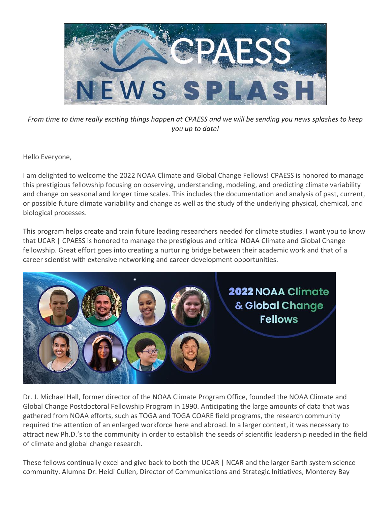

*From time to time really exciting things happen at CPAESS and we will be sending you news splashes to keep you up to date!*

Hello Everyone,

I am delighted to welcome the 2022 NOAA Climate and Global Change Fellows! CPAESS is honored to manage this prestigious fellowship focusing on observing, understanding, modeling, and predicting climate variability and change on seasonal and longer time scales. This includes the documentation and analysis of past, current, or possible future climate variability and change as well as the study of the underlying physical, chemical, and biological processes.

This program helps create and train future leading researchers needed for climate studies. I want you to know that UCAR | CPAESS is honored to manage the prestigious and critical NOAA Climate and Global Change fellowship. Great effort goes into creating a nurturing bridge between their academic work and that of a career scientist with extensive networking and career development opportunities.



Dr. J. Michael Hall, former director of the NOAA Climate Program Office, founded the NOAA Climate and Global Change Postdoctoral Fellowship Program in 1990. Anticipating the large amounts of data that was gathered from NOAA efforts, such as TOGA and TOGA COARE field programs, the research community required the attention of an enlarged workforce here and abroad. In a larger context, it was necessary to attract new Ph.D.'s to the community in order to establish the seeds of scientific leadership needed in the field of climate and global change research.

These fellows continually excel and give back to both the UCAR | NCAR and the larger Earth system science community. Alumna Dr. Heidi Cullen, Director of Communications and Strategic Initiatives, Monterey Bay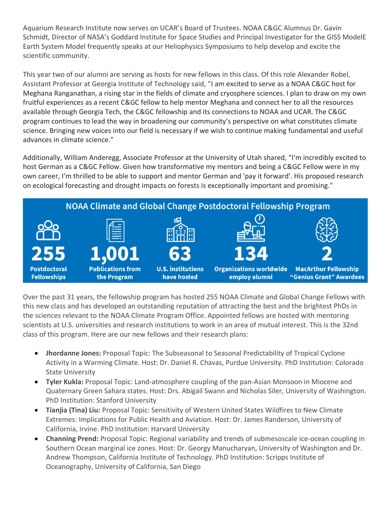Aquarium Research Institute now serves on UCAR's Board of Trustees. NOAA C&GC Alumnus Dr. Gavin Schmidt, Director of NASA's Goddard Institute for Space Studies and Principal Investigator for the GISS ModelE Earth System Model frequently speaks at our Heliophysics Symposiums to help develop and excite the scientific community.

This year two of our alumni are serving as hosts for new fellows in this class. Of this role Alexander Robel, Assistant Professor at Georgia Institute of Technology said, "I am excited to serve as a NOAA C&GC host for Meghana Ranganathan, a rising star in the fields of climate and cryosphere sciences. I plan to draw on my own fruitful experiences as a recent C&GC fellow to help mentor Meghana and connect her to all the resources available through Georgia Tech, the C&GC fellowship and its connections to NOAA and UCAR. The C&GC program continues to lead the way in broadening our community's perspective on what constitutes climate science. Bringing new voices into our field is necessary if we wish to continue making fundamental and useful advances in climate science."

Additionally, William Anderegg, Associate Professor at the University of Utah shared, "I'm incredibly excited to host German as a C&GC Fellow. Given how transformative my mentors and being a C&GC Fellow were in my own career, I'm thrilled to be able to support and mentor German and 'pay it forward'. His proposed research on ecological forecasting and drought impacts on forests is exceptionally important and promising."



Over the past 31 years, the fellowship program has hosted 255 NOAA Climate and Global Change Fellows with this new class and has developed an outstanding reputation of attracting the best and the brightest PhDs in the sciences relevant to the NOAA Climate Program Office. Appointed fellows are hosted with mentoring scientists at U.S. universities and research institutions to work in an area of mutual interest. This is the 32nd class of this program. Here are our new fellows and their research plans:

- **Jhordanne Jones:** Proposal Topic: The Subseasonal to Seasonal Predictability of Tropical Cyclone Activity in a Warming Climate. Host: Dr. Daniel R. Chavas, Purdue University. PhD Institution: Colorado State University
- **Tyler Kukla:** Proposal Topic: Land-atmosphere coupling of the pan-Asian Monsoon in Miocene and Quaternary Green Sahara states. Host: Drs. Abigail Swann and Nicholas Siler, University of Washington. PhD Institution: Stanford University
- **Tianjia (Tina) Liu:** Proposal Topic: Sensitivity of Western United States Wildfires to New Climate Extremes: Implications for Public Health and Aviation. Host: Dr. James Randerson, University of California, Irvine. PhD Institution: Harvard University
- **Channing Prend:** Proposal Topic: Regional variability and trends of submesoscale ice-ocean coupling in Southern Ocean marginal ice zones. Host: Dr. Georgy Manucharyan, University of Washington and Dr. Andrew Thompson, California Institute of Technology. PhD Institution: Scripps Institute of Oceanography, University of California, San Diego